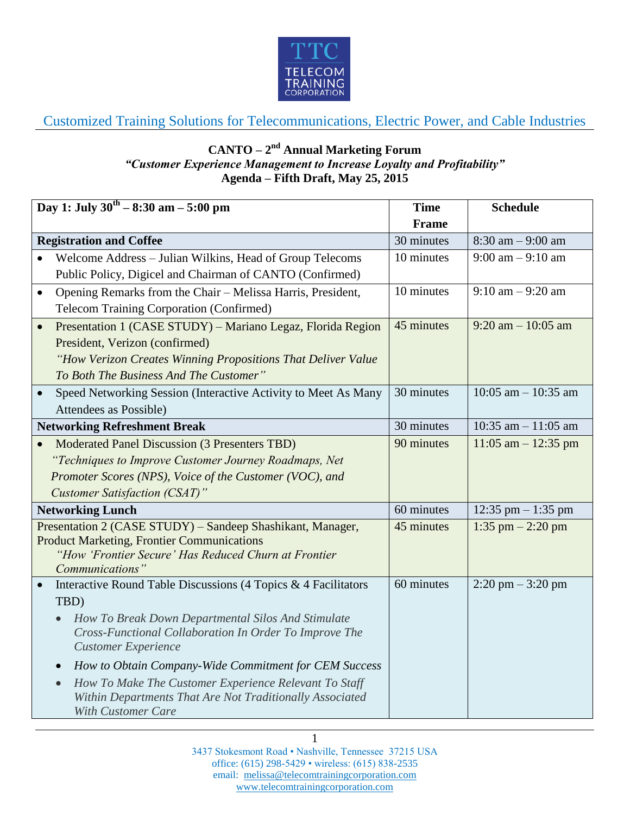

Customized Training Solutions for Telecommunications, Electric Power, and Cable Industries

## **CANTO – 2 nd Annual Marketing Forum** *"Customer Experience Management to Increase Loyalty and Profitability"* **Agenda – Fifth Draft, May 25, 2015**

| Day 1: July $30^{\text{th}} - 8:30$ am $- 5:00$ pm |                                                                                                              | <b>Time</b>  | <b>Schedule</b>                     |
|----------------------------------------------------|--------------------------------------------------------------------------------------------------------------|--------------|-------------------------------------|
|                                                    |                                                                                                              | <b>Frame</b> |                                     |
| <b>Registration and Coffee</b>                     |                                                                                                              | 30 minutes   | $8:30$ am $-9:00$ am                |
|                                                    | Welcome Address - Julian Wilkins, Head of Group Telecoms                                                     | 10 minutes   | $9:00 \text{ am} - 9:10 \text{ am}$ |
|                                                    | Public Policy, Digicel and Chairman of CANTO (Confirmed)                                                     |              |                                     |
| $\bullet$                                          | Opening Remarks from the Chair - Melissa Harris, President,                                                  | 10 minutes   | $9:10$ am $-9:20$ am                |
|                                                    | <b>Telecom Training Corporation (Confirmed)</b>                                                              |              |                                     |
| $\bullet$                                          | Presentation 1 (CASE STUDY) - Mariano Legaz, Florida Region                                                  | 45 minutes   | $9:20$ am $-10:05$ am               |
|                                                    | President, Verizon (confirmed)                                                                               |              |                                     |
|                                                    | "How Verizon Creates Winning Propositions That Deliver Value                                                 |              |                                     |
|                                                    | To Both The Business And The Customer"                                                                       |              |                                     |
| $\bullet$                                          | Speed Networking Session (Interactive Activity to Meet As Many                                               | 30 minutes   | 10:05 am $-$ 10:35 am               |
|                                                    | Attendees as Possible)                                                                                       |              |                                     |
| <b>Networking Refreshment Break</b>                |                                                                                                              | 30 minutes   | 10:35 am $- 11:05$ am               |
| $\bullet$                                          | Moderated Panel Discussion (3 Presenters TBD)                                                                | 90 minutes   | 11:05 am $-$ 12:35 pm               |
|                                                    | "Techniques to Improve Customer Journey Roadmaps, Net                                                        |              |                                     |
|                                                    | Promoter Scores (NPS), Voice of the Customer (VOC), and                                                      |              |                                     |
|                                                    | <b>Customer Satisfaction (CSAT)</b> "                                                                        |              |                                     |
| <b>Networking Lunch</b>                            |                                                                                                              | 60 minutes   | 12:35 pm $-1:35$ pm                 |
|                                                    | Presentation 2 (CASE STUDY) – Sandeep Shashikant, Manager,                                                   | 45 minutes   | 1:35 pm $- 2:20$ pm                 |
|                                                    | <b>Product Marketing, Frontier Communications</b>                                                            |              |                                     |
|                                                    | "How 'Frontier Secure' Has Reduced Churn at Frontier<br>Communications"                                      |              |                                     |
| $\bullet$                                          | Interactive Round Table Discussions (4 Topics & 4 Facilitators                                               | 60 minutes   | $2:20 \text{ pm} - 3:20 \text{ pm}$ |
|                                                    | TBD)                                                                                                         |              |                                     |
|                                                    |                                                                                                              |              |                                     |
|                                                    | How To Break Down Departmental Silos And Stimulate<br>Cross-Functional Collaboration In Order To Improve The |              |                                     |
|                                                    | <b>Customer Experience</b>                                                                                   |              |                                     |
|                                                    | How to Obtain Company-Wide Commitment for CEM Success<br>$\bullet$                                           |              |                                     |
|                                                    | How To Make The Customer Experience Relevant To Staff<br>$\bullet$                                           |              |                                     |
|                                                    | Within Departments That Are Not Traditionally Associated                                                     |              |                                     |
|                                                    | <b>With Customer Care</b>                                                                                    |              |                                     |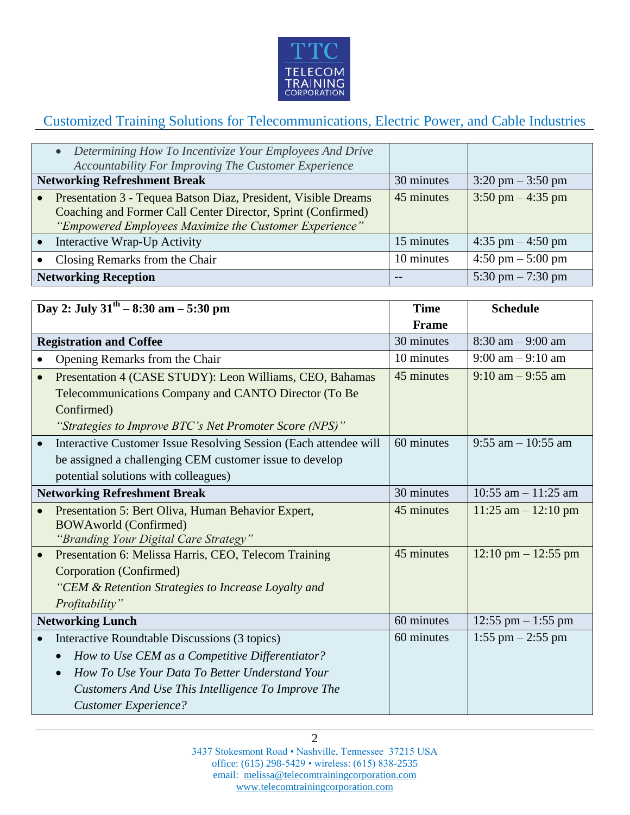

## Customized Training Solutions for Telecommunications, Electric Power, and Cable Industries

|                                     | • Determining How To Incentivize Your Employees And Drive<br>Accountability For Improving The Customer Experience                                                                        |            |                                     |
|-------------------------------------|------------------------------------------------------------------------------------------------------------------------------------------------------------------------------------------|------------|-------------------------------------|
| <b>Networking Refreshment Break</b> |                                                                                                                                                                                          | 30 minutes | $3:20 \text{ pm} - 3:50 \text{ pm}$ |
|                                     | Presentation 3 - Tequea Batson Diaz, President, Visible Dreams<br>Coaching and Former Call Center Director, Sprint (Confirmed)<br>"Empowered Employees Maximize the Customer Experience" | 45 minutes | $3:50 \text{ pm} - 4:35 \text{ pm}$ |
|                                     | Interactive Wrap-Up Activity                                                                                                                                                             | 15 minutes | $4:35$ pm $-4:50$ pm                |
|                                     | Closing Remarks from the Chair                                                                                                                                                           | 10 minutes | $4:50 \text{ pm} - 5:00 \text{ pm}$ |
| <b>Networking Reception</b>         |                                                                                                                                                                                          |            | 5:30 pm $-7:30$ pm                  |

| Day 2: July $31^{th} - 8:30$ am $- 5:30$ pm |                                                                  | <b>Time</b>  | <b>Schedule</b>                       |
|---------------------------------------------|------------------------------------------------------------------|--------------|---------------------------------------|
|                                             |                                                                  | <b>Frame</b> |                                       |
| <b>Registration and Coffee</b>              |                                                                  | 30 minutes   | $8:30$ am $-9:00$ am                  |
|                                             | Opening Remarks from the Chair                                   | 10 minutes   | $9:00$ am $-9:10$ am                  |
| $\bullet$                                   | Presentation 4 (CASE STUDY): Leon Williams, CEO, Bahamas         | 45 minutes   | $9:10$ am $-9:55$ am                  |
|                                             | Telecommunications Company and CANTO Director (To Be             |              |                                       |
|                                             | Confirmed)                                                       |              |                                       |
|                                             | "Strategies to Improve BTC's Net Promoter Score (NPS)"           |              |                                       |
|                                             | Interactive Customer Issue Resolving Session (Each attendee will | 60 minutes   | $9:55$ am $-10:55$ am                 |
|                                             | be assigned a challenging CEM customer issue to develop          |              |                                       |
|                                             | potential solutions with colleagues)                             |              |                                       |
| <b>Networking Refreshment Break</b>         |                                                                  | 30 minutes   | 10:55 am $-$ 11:25 am                 |
|                                             | Presentation 5: Bert Oliva, Human Behavior Expert,               | 45 minutes   | $11:25$ am $-12:10$ pm                |
|                                             | <b>BOWAworld (Confirmed)</b>                                     |              |                                       |
|                                             | "Branding Your Digital Care Strategy"                            |              |                                       |
|                                             | Presentation 6: Melissa Harris, CEO, Telecom Training            | 45 minutes   | $12:10 \text{ pm} - 12:55 \text{ pm}$ |
|                                             | Corporation (Confirmed)                                          |              |                                       |
|                                             | "CEM & Retention Strategies to Increase Loyalty and              |              |                                       |
|                                             | Profitability"                                                   |              |                                       |
| <b>Networking Lunch</b>                     |                                                                  | 60 minutes   | $12:55$ pm $-1:55$ pm                 |
|                                             | Interactive Roundtable Discussions (3 topics)                    | 60 minutes   | 1:55 pm $-$ 2:55 pm                   |
|                                             | How to Use CEM as a Competitive Differentiator?                  |              |                                       |
|                                             | How To Use Your Data To Better Understand Your                   |              |                                       |
|                                             | Customers And Use This Intelligence To Improve The               |              |                                       |
|                                             | <b>Customer Experience?</b>                                      |              |                                       |